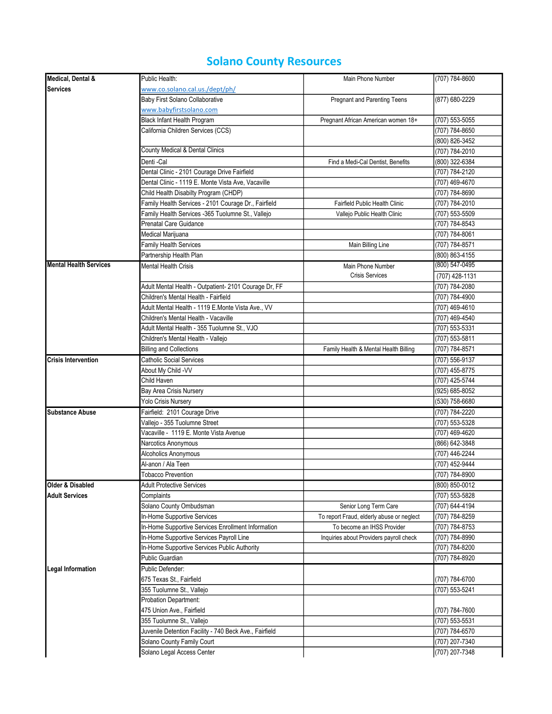## Solano County Resources

| Medical, Dental &             | Public Health:                                         | Main Phone Number                         | (707) 784-8600     |
|-------------------------------|--------------------------------------------------------|-------------------------------------------|--------------------|
| <b>Services</b>               | www.co.solano.cal.us./dept/ph/                         |                                           |                    |
|                               | Baby First Solano Collaborative                        | Pregnant and Parenting Teens              | (877) 680-2229     |
|                               | www.babyfirstsolano.com                                |                                           |                    |
|                               | Black Infant Health Program                            | Pregnant African American women 18+       | (707) 553-5055     |
|                               | California Children Services (CCS)                     |                                           | (707) 784-8650     |
|                               |                                                        |                                           | (800) 826-3452     |
|                               | County Medical & Dental Clinics                        |                                           | (707) 784-2010     |
|                               | Denti-Cal                                              | Find a Medi-Cal Dentist, Benefits         | (800) 322-6384     |
|                               | Dental Clinic - 2101 Courage Drive Fairfield           |                                           | (707) 784-2120     |
|                               | Dental Clinic - 1119 E. Monte Vista Ave, Vacaville     |                                           | (707) 469-4670     |
|                               | Child Health Disabilty Program (CHDP)                  |                                           | (707) 784-8690     |
|                               | Family Health Services - 2101 Courage Dr., Fairfield   | <b>Fairfield Public Health Clinic</b>     | (707) 784-2010     |
|                               | Family Health Services -365 Tuolumne St., Vallejo      | Vallejo Public Health Clinic              | (707) 553-5509     |
|                               | Prenatal Care Guidance                                 |                                           | (707) 784-8543     |
|                               | Medical Marijuana                                      |                                           | (707) 784-8061     |
|                               | <b>Family Health Services</b>                          | Main Billing Line                         | (707) 784-8571     |
|                               | Partnership Health Plan                                |                                           | (800) 863-4155     |
| <b>Mental Health Services</b> | Mental Health Crisis                                   | Main Phone Number                         | (800) 547-0495     |
|                               |                                                        | <b>Crisis Services</b>                    | (707) 428-1131     |
|                               | Adult Mental Health - Outpatient- 2101 Courage Dr, FF  |                                           | (707) 784-2080     |
|                               | Children's Mental Health - Fairfield                   |                                           | $(707) 784 - 4900$ |
|                               | Adult Mental Health - 1119 E.Monte Vista Ave., VV      |                                           | (707) 469-4610     |
|                               | Children's Mental Health - Vacaville                   |                                           | (707) 469-4540     |
|                               | Adult Mental Health - 355 Tuolumne St., VJO            |                                           | (707) 553-5331     |
|                               | Children's Mental Health - Vallejo                     |                                           | (707) 553-5811     |
|                               | <b>Billing and Collections</b>                         | Family Health & Mental Health Billing     | (707) 784-8571     |
| <b>Crisis Intervention</b>    | Catholic Social Services                               |                                           | (707) 556-9137     |
|                               | About My Child -VV                                     |                                           | (707) 455-8775     |
|                               | Child Haven                                            |                                           | (707) 425-5744     |
|                               | Bay Area Crisis Nursery                                |                                           | (925) 685-8052     |
|                               | Yolo Crisis Nursery                                    |                                           | (530) 758-6680     |
| <b>Substance Abuse</b>        | Fairfield: 2101 Courage Drive                          |                                           | (707) 784-2220     |
|                               | Vallejo - 355 Tuolumne Street                          |                                           | (707) 553-5328     |
|                               | Vacaville - 1119 E. Monte Vista Avenue                 |                                           | (707) 469-4620     |
|                               | Narcotics Anonymous                                    |                                           | (866) 642-3848     |
|                               | Alcoholics Anonymous                                   |                                           | (707) 446-2244     |
|                               | Al-anon / Ala Teen                                     |                                           | (707) 452-9444     |
|                               | <b>Tobacco Prevention</b>                              |                                           | (707) 784-8900     |
| Older & Disabled              | <b>Adult Protective Services</b>                       |                                           | (800) 850-0012     |
| <b>Adult Services</b>         | Complaints                                             |                                           | (707) 553-5828     |
|                               | Solano County Ombudsman                                | Senior Long Term Care                     | (707) 644-4194     |
|                               | In-Home Supportive Services                            | To report Fraud, elderly abuse or neglect | (707) 784-8259     |
|                               | In-Home Supportive Services Enrollment Information     | To become an IHSS Provider                | (707) 784-8753     |
|                               | In-Home Supportive Services Payroll Line               | Inquiries about Providers payroll check   | (707) 784-8990     |
|                               | In-Home Supportive Services Public Authority           |                                           | (707) 784-8200     |
|                               | Public Guardian                                        |                                           | (707) 784-8920     |
| Legal Information             | Public Defender:                                       |                                           |                    |
|                               | 675 Texas St., Fairfield                               |                                           | (707) 784-6700     |
|                               | 355 Tuolumne St., Vallejo                              |                                           | (707) 553-5241     |
|                               | <b>Probation Department:</b>                           |                                           |                    |
|                               | 475 Union Ave., Fairfield                              |                                           | (707) 784-7600     |
|                               | 355 Tuolumne St., Vallejo                              |                                           | (707) 553-5531     |
|                               | Juvenile Detention Facility - 740 Beck Ave., Fairfield |                                           | (707) 784-6570     |
|                               | Solano County Family Court                             |                                           | (707) 207-7340     |
|                               | Solano Legal Access Center                             |                                           | (707) 207-7348     |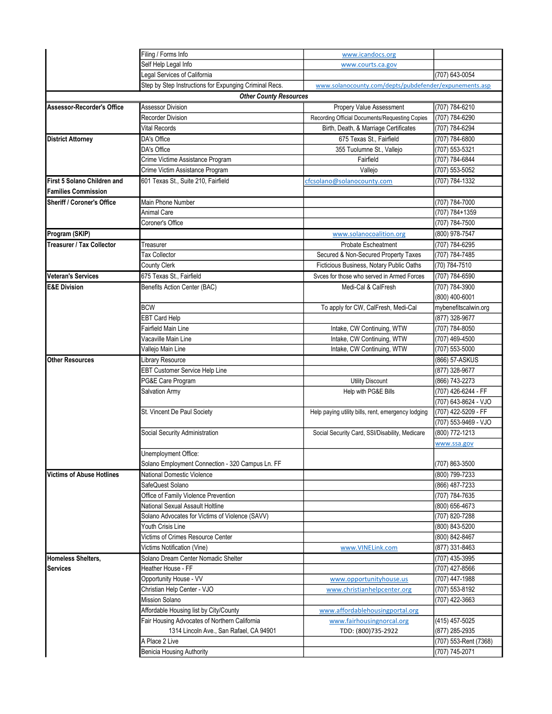|                             | Filing / Forms Info                                    | www.icandocs.org                                       |                                         |
|-----------------------------|--------------------------------------------------------|--------------------------------------------------------|-----------------------------------------|
|                             | Self Help Legal Info                                   | www.courts.ca.gov                                      |                                         |
|                             | egal Services of California                            |                                                        | (707) 643-0054                          |
|                             | Step by Step Instructions for Expunging Criminal Recs. | www.solanocounty.com/depts/pubdefender/expunements.asp |                                         |
|                             | <b>Other County Resources</b>                          |                                                        |                                         |
| Assessor-Recorder's Office  | <b>Assessor Division</b>                               | Propery Value Assessment                               | (707) 784-6210                          |
|                             | Recorder Division                                      | Recording Official Documents/Requesting Copies         | (707) 784-6290                          |
|                             | Vital Records                                          | Birth, Death, & Marriage Certificates                  | (707) 784-6294                          |
| <b>District Attorney</b>    | DA's Office                                            | 675 Texas St., Fairfield                               | (707) 784-6800                          |
|                             | DA's Office                                            | 355 Tuolumne St., Vallejo                              | (707) 553-5321                          |
|                             | Crime Victime Assistance Program                       | Fairfield                                              | (707) 784-6844                          |
|                             | Crime Victim Assistance Program                        | Valleio                                                | (707) 553-5052                          |
| First 5 Solano Children and | 601 Texas St., Suite 210, Fairfield                    | cfcsolano@solanocounty.com                             | (707) 784-1332                          |
| <b>Families Commission</b>  |                                                        |                                                        |                                         |
| Sheriff / Coroner's Office  | Main Phone Number                                      |                                                        | (707) 784-7000                          |
|                             | Animal Care                                            |                                                        | (707) 784+1359                          |
|                             | Coroner's Office                                       |                                                        | (707) 784-7500                          |
| Program (SKIP)              |                                                        | www.solanocoalition.org                                | (800) 978-7547                          |
| Treasurer / Tax Collector   | Treasurer                                              | <b>Probate Escheatment</b>                             | (707) 784-6295                          |
|                             | <b>Tax Collector</b>                                   | Secured & Non-Secured Property Taxes                   | (707) 784-7485                          |
|                             | <b>County Clerk</b>                                    | Ficticious Business, Notary Public Oaths               | (70) 784-7510                           |
| Veteran's Services          | 675 Texas St., Fairfield                               | Svces for those who served in Armed Forces             | (707) 784-6590                          |
| <b>E&amp;E Division</b>     | Benefits Action Center (BAC)                           | Medi-Cal & CalFresh                                    | (707) 784-3900                          |
|                             |                                                        |                                                        | (800) 400-6001                          |
|                             | BCW                                                    | To apply for CW, CalFresh, Medi-Cal                    | mybenefitscalwin.org                    |
|                             | <b>EBT Card Help</b>                                   |                                                        | (877) 328-9677                          |
|                             | Fairfield Main Line                                    | Intake, CW Continuing, WTW                             | (707) 784-8050                          |
|                             | Vacaville Main Line                                    | Intake, CW Continuing, WTW                             | (707) 469-4500                          |
|                             | Vallejo Main Line                                      | Intake, CW Continuing, WTW                             | (707) 553-5000                          |
| <b>Other Resources</b>      | Library Resource                                       |                                                        | (866) 57-ASKUS                          |
|                             | EBT Customer Service Help Line                         |                                                        | (877) 328-9677                          |
|                             | PG&E Care Program                                      | <b>Utility Discount</b>                                | (866) 743-2273                          |
|                             | Salvation Army                                         | Help with PG&E Bills                                   | (707) 426-6244 - FF                     |
|                             |                                                        |                                                        | (707) 643-8624 - VJO                    |
|                             | St. Vincent De Paul Society                            | Help paying utility bills, rent, emergency lodging     | (707) 422-5209 - FF                     |
|                             |                                                        |                                                        | (707) 553-9469 - VJO                    |
|                             | Social Security Administration                         | Social Security Card, SSI/Disability, Medicare         | (800) 772-1213                          |
|                             |                                                        |                                                        | www.ssa.gov                             |
|                             | Unemployment Office:                                   |                                                        |                                         |
|                             | Solano Employment Connection - 320 Campus Ln. FF       |                                                        | (707) 863-3500                          |
| Victims of Abuse Hotlines   | National Domestic Violence                             |                                                        | (800) 799-7233                          |
|                             | SafeQuest Solano                                       |                                                        | (866) 487-7233                          |
|                             | Office of Family Violence Prevention                   |                                                        | (707) 784-7635                          |
|                             | National Sexual Assault Holtline                       |                                                        | (800) 656-4673                          |
|                             | Solano Advocates for Victims of Violence (SAVV)        |                                                        | (707) 820-7288                          |
|                             |                                                        |                                                        | (800) 843-5200                          |
|                             | Youth Crisis Line                                      |                                                        |                                         |
|                             | Victims of Crimes Resource Center                      |                                                        | (800) 842-8467                          |
|                             | Victims Notification (Vine)                            | www.VINELink.com                                       | (877) 331-8463                          |
| Homeless Shelters,          | Solano Dream Center Nomadic Shelter                    |                                                        | $(707)$ 435-3995                        |
| <b>Services</b>             | Heather House - FF                                     |                                                        | (707) 427-8566                          |
|                             | Opportunity House - VV                                 | www.opportunityhouse.us                                | (707) 447-1988                          |
|                             | Christian Help Center - VJO                            | www.christianhelpcenter.org                            | (707) 553-8192                          |
|                             | Mission Solano                                         |                                                        | (707) 422-3663                          |
|                             | Affordable Housing list by City/County                 | www.affordablehousingportal.org                        |                                         |
|                             | Fair Housing Advocates of Northern California          | www.fairhousingnorcal.org                              | (415) 457-5025                          |
|                             | 1314 Lincoln Ave., San Rafael, CA 94901                | TDD: (800)735-2922                                     | (877) 285-2935                          |
|                             | A Place 2 Live<br><b>Benicia Housing Authority</b>     |                                                        | (707) 553-Rent (7368)<br>(707) 745-2071 |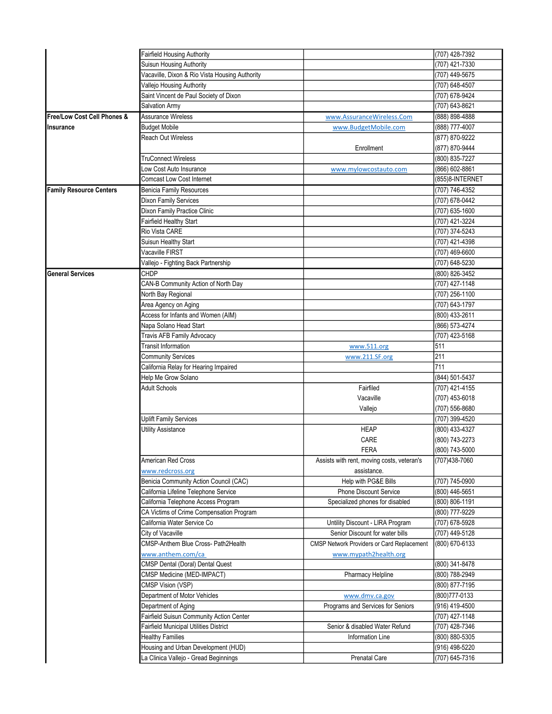|                                        | <b>Fairfield Housing Authority</b>             |                                            | (707) 428-7392     |
|----------------------------------------|------------------------------------------------|--------------------------------------------|--------------------|
|                                        | Suisun Housing Authority                       |                                            | (707) 421-7330     |
|                                        | Vacaville, Dixon & Rio Vista Housing Authority |                                            | (707) 449-5675     |
|                                        | Vallejo Housing Authority                      |                                            | (707) 648-4507     |
|                                        | Saint Vincent de Paul Society of Dixon         |                                            | (707) 678-9424     |
|                                        | Salvation Army                                 |                                            | (707) 643-8621     |
| <b>Free/Low Cost Cell Phones &amp;</b> | <b>Assurance Wireless</b>                      | www.AssuranceWireless.Com                  | (888) 898-4888     |
| Insurance                              | <b>Budget Mobile</b>                           | www.BudgetMobile.com                       | (888) 777-4007     |
|                                        | <b>Reach Out Wireless</b>                      |                                            | (877) 870-9222     |
|                                        |                                                | Enrollment                                 | (877) 870-9444     |
|                                        | <b>TruConnect Wireless</b>                     |                                            | (800) 835-7227     |
|                                        |                                                |                                            |                    |
|                                        | Low Cost Auto Insurance                        | www.mylowcostauto.com                      | (866) 602-8861     |
|                                        | Comcast Low Cost Internet                      |                                            | (855)8-INTERNET    |
| <b>Family Resource Centers</b>         | <b>Benicia Family Resources</b>                |                                            | (707) 746-4352     |
|                                        | Dixon Family Services                          |                                            | (707) 678-0442     |
|                                        | Dixon Family Practice Clinic                   |                                            | (707) 635-1600     |
|                                        | Fairfield Healthy Start                        |                                            | (707) 421-3224     |
|                                        | Rio Vista CARE                                 |                                            | (707) 374-5243     |
|                                        | Suisun Healthy Start                           |                                            | (707) 421-4398     |
|                                        | Vacaville FIRST                                |                                            | $(707)$ 469-6600   |
|                                        | Vallejo - Fighting Back Partnership            |                                            | (707) 648-5230     |
| <b>General Services</b>                | <b>CHDP</b>                                    |                                            | (800) 826-3452     |
|                                        | CAN-B Community Action of North Day            |                                            | (707) 427-1148     |
|                                        | North Bay Regional                             |                                            | (707) 256-1100     |
|                                        | Area Agency on Aging                           |                                            | (707) 643-1797     |
|                                        | Access for Infants and Women (AIM)             |                                            | (800) 433-2611     |
|                                        | Napa Solano Head Start                         |                                            | (866) 573-4274     |
|                                        | <b>Travis AFB Family Advocacy</b>              |                                            | (707) 423-5168     |
|                                        | <b>Transit Information</b>                     | www.511.org                                | 511                |
|                                        | <b>Community Services</b>                      | www.211.SF.org                             | 211                |
|                                        | California Relay for Hearing Impaired          |                                            | 711                |
|                                        | Help Me Grow Solano                            |                                            | (844) 501-5437     |
|                                        | <b>Adult Schools</b>                           | Fairfiled                                  | (707) 421-4155     |
|                                        |                                                | Vacaville                                  | (707) 453-6018     |
|                                        |                                                |                                            | (707) 556-8680     |
|                                        |                                                | Vallejo                                    |                    |
|                                        | <b>Uplift Family Services</b>                  |                                            | (707) 399-4520     |
|                                        | <b>Utility Assistance</b>                      | <b>HEAP</b>                                | (800) 433-4327     |
|                                        |                                                | CARE                                       | (800) 743-2273     |
|                                        |                                                | <b>FERA</b>                                | (800) 743-5000     |
|                                        | American Red Cross                             | Assists with rent, moving costs, veteran's | (707) 438-7060     |
|                                        | www.redcross.org                               | assistance.                                |                    |
|                                        | Benicia Community Action Council (CAC)         | Help with PG&E Bills                       | $(707) 745 - 0900$ |
|                                        | California Lifeline Telephone Service          | <b>Phone Discount Service</b>              | (800) 446-5651     |
|                                        | California Telephone Access Program            | Specialized phones for disabled            | (800) 806-1191     |
|                                        | CA Victims of Crime Compensation Program       |                                            | (800) 777-9229     |
|                                        | California Water Service Co                    | Untility Discount - LIRA Program           | (707) 678-5928     |
|                                        | City of Vacaville                              | Senior Discount for water bills            | (707) 449-5128     |
|                                        | CMSP-Anthem Blue Cross- Path2Health            | CMSP Network Providers or Card Replacement | (800) 670-6133     |
|                                        | www.anthem.com/ca                              | www.mypath2health.org                      |                    |
|                                        | CMSP Dental (Doral) Dental Quest               |                                            | (800) 341-8478     |
|                                        | CMSP Medicine (MED-IMPACT)                     | Pharmacy Helpline                          | (800) 788-2949     |
|                                        | CMSP Vision (VSP)                              |                                            | (800) 877-7195     |
|                                        | Department of Motor Vehicles                   | www.dmv.ca.gov                             | (800) 777-0133     |
|                                        | Department of Aging                            | Programs and Services for Seniors          | (916) 419-4500     |
|                                        | Fairfield Suisun Community Action Center       |                                            | (707) 427-1148     |
|                                        | Fairfield Municipal Utilities District         | Senior & disabled Water Refund             | (707) 428-7346     |
|                                        | <b>Healthy Families</b>                        | Information Line                           | $(800) 880 - 5305$ |
|                                        | Housing and Urban Development (HUD)            |                                            | (916) 498-5220     |
|                                        | La Clinica Vallejo - Gread Beginnings          | <b>Prenatal Care</b>                       | (707) 645-7316     |
|                                        |                                                |                                            |                    |